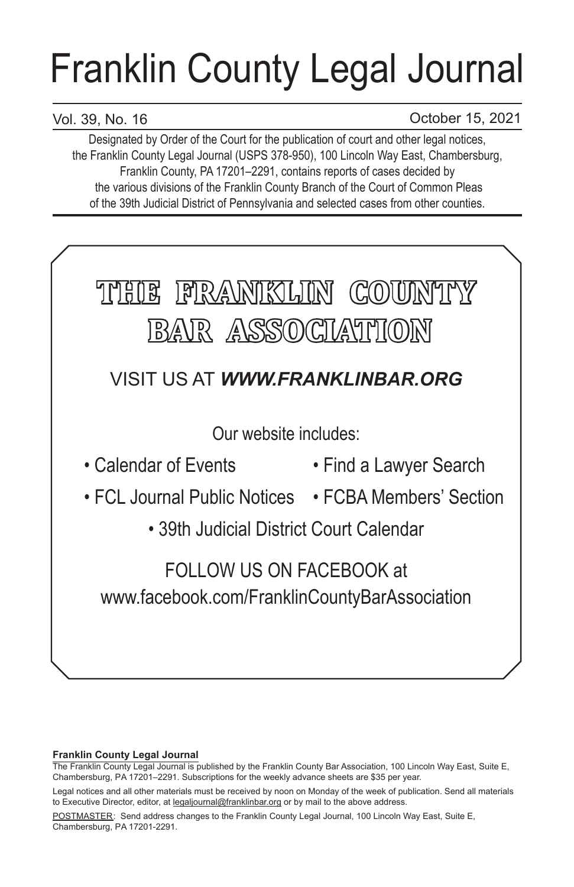# Franklin County Legal Journal

# Vol. 39, No. 16

October 15, 2021

Designated by Order of the Court for the publication of court and other legal notices, the Franklin County Legal Journal (USPS 378-950), 100 Lincoln Way East, Chambersburg, Franklin County, PA 17201–2291, contains reports of cases decided by the various divisions of the Franklin County Branch of the Court of Common Pleas of the 39th Judicial District of Pennsylvania and selected cases from other counties.



## **Franklin County Legal Journal**

The Franklin County Legal Journal is published by the Franklin County Bar Association, 100 Lincoln Way East, Suite E, Chambersburg, PA 17201–2291. Subscriptions for the weekly advance sheets are \$35 per year.

POSTMASTER: Send address changes to the Franklin County Legal Journal, 100 Lincoln Way East, Suite E, Chambersburg, PA 17201-2291.

Legal notices and all other materials must be received by noon on Monday of the week of publication. Send all materials to Executive Director, editor, at legaljournal@franklinbar.org or by mail to the above address.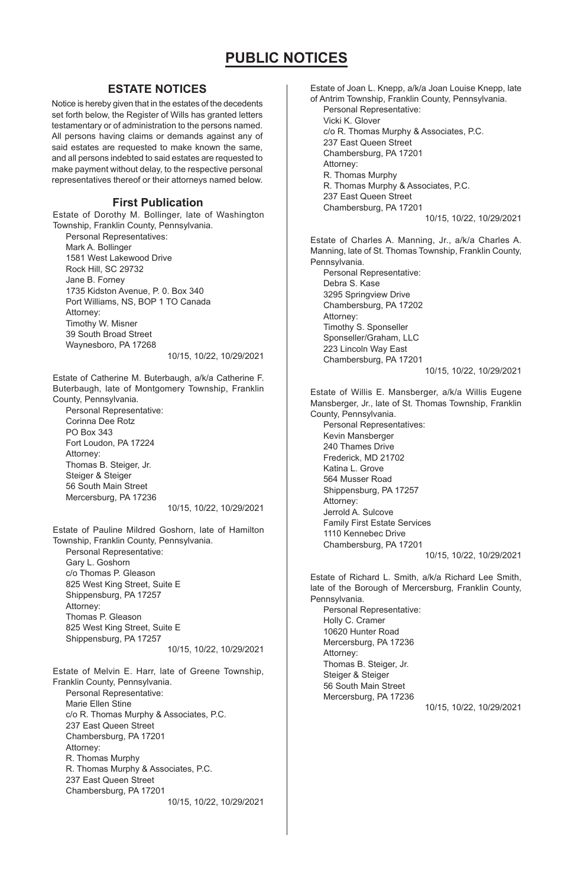### **ESTATE NOTICES**

Notice is hereby given that in the estates of the decedents set forth below, the Register of Wills has granted letters testamentary or of administration to the persons named. All persons having claims or demands against any of said estates are requested to make known the same, and all persons indebted to said estates are requested to make payment without delay, to the respective personal representatives thereof or their attorneys named below.

#### **First Publication**

Estate of Dorothy M. Bollinger, late of Washington Township, Franklin County, Pennsylvania.

Personal Representatives: Mark A. Bollinger 1581 West Lakewood Drive Rock Hill, SC 29732 Jane B. Forney 1735 Kidston Avenue, P. 0. Box 340 Port Williams, NS, BOP 1 TO Canada Attorney: Timothy W. Misner 39 South Broad Street Waynesboro, PA 17268

10/15, 10/22, 10/29/2021

Estate of Catherine M. Buterbaugh, a/k/a Catherine F. Buterbaugh, late of Montgomery Township, Franklin County, Pennsylvania.

Personal Representative: Corinna Dee Rotz PO Box 343 Fort Loudon, PA 17224 Attorney: Thomas B. Steiger, Jr. Steiger & Steiger 56 South Main Street Mercersburg, PA 17236

10/15, 10/22, 10/29/2021

Estate of Pauline Mildred Goshorn, late of Hamilton Township, Franklin County, Pennsylvania. Personal Representative:

Gary L. Goshorn c/o Thomas P. Gleason 825 West King Street, Suite E Shippensburg, PA 17257 Attorney: Thomas P. Gleason 825 West King Street, Suite E Shippensburg, PA 17257

10/15, 10/22, 10/29/2021

Estate of Melvin E. Harr, late of Greene Township, Franklin County, Pennsylvania. Personal Representative: Marie Ellen Stine c/o R. Thomas Murphy & Associates, P.C. 237 East Queen Street Chambersburg, PA 17201 Attorney: R. Thomas Murphy R. Thomas Murphy & Associates, P.C. 237 East Queen Street Chambersburg, PA 17201 10/15, 10/22, 10/29/2021 Estate of Joan L. Knepp, a/k/a Joan Louise Knepp, late of Antrim Township, Franklin County, Pennsylvania. Personal Representative: Vicki K. Glover c/o R. Thomas Murphy & Associates, P.C. 237 East Queen Street Chambersburg, PA 17201 Attorney: R. Thomas Murphy R. Thomas Murphy & Associates, P.C. 237 East Queen Street Chambersburg, PA 17201 10/15, 10/22, 10/29/2021 Estate of Charles A. Manning, Jr., a/k/a Charles A. Manning, late of St. Thomas Township, Franklin County, Pennsylvania. Personal Representative: Debra S. Kase

3295 Springview Drive Chambersburg, PA 17202 Attorney: Timothy S. Sponseller Sponseller/Graham, LLC 223 Lincoln Way East Chambersburg, PA 17201

10/15, 10/22, 10/29/2021

Estate of Willis E. Mansberger, a/k/a Willis Eugene Mansberger, Jr., late of St. Thomas Township, Franklin County, Pennsylvania. Personal Representatives: Kevin Mansberger 240 Thames Drive Frederick, MD 21702 Katina L. Grove 564 Musser Road

Shippensburg, PA 17257 Attorney: Jerrold A. Sulcove Family First Estate Services 1110 Kennebec Drive Chambersburg, PA 17201

10/15, 10/22, 10/29/2021

Estate of Richard L. Smith, a/k/a Richard Lee Smith, late of the Borough of Mercersburg, Franklin County, Pennsylvania. Personal Representative:

Holly C. Cramer 10620 Hunter Road Mercersburg, PA 17236 Attorney: Thomas B. Steiger, Jr. Steiger & Steiger 56 South Main Street Mercersburg, PA 17236

10/15, 10/22, 10/29/2021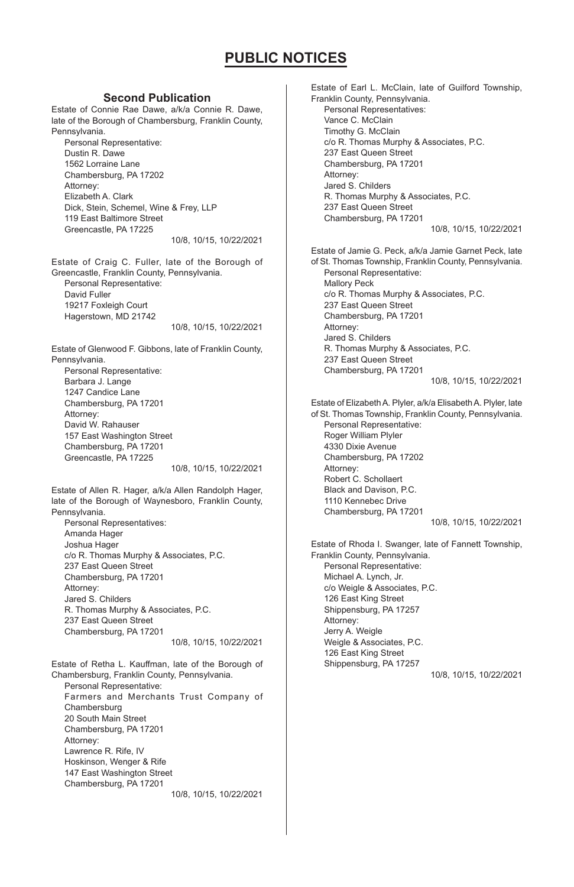#### **Second Publication**

Estate of Connie Rae Dawe, a/k/a Connie R. Dawe, late of the Borough of Chambersburg, Franklin County, Pennsylvania. Personal Representative:

Dustin R. Dawe 1562 Lorraine Lane Chambersburg, PA 17202 Attorney: Elizabeth A. Clark Dick, Stein, Schemel, Wine & Frey, LLP 119 East Baltimore Street Greencastle, PA 17225

10/8, 10/15, 10/22/2021

Estate of Craig C. Fuller, late of the Borough of Greencastle, Franklin County, Pennsylvania. Personal Representative: David Fuller 19217 Foxleigh Court Hagerstown, MD 21742

10/8, 10/15, 10/22/2021

Estate of Glenwood F. Gibbons, late of Franklin County, Pennsylvania. Personal Representative: Barbara J. Lange 1247 Candice Lane Chambersburg, PA 17201 Attorney: David W. Rahauser 157 East Washington Street Chambersburg, PA 17201 Greencastle, PA 17225 10/8, 10/15, 10/22/2021

Estate of Allen R. Hager, a/k/a Allen Randolph Hager, late of the Borough of Waynesboro, Franklin County, Pennsylvania.

Personal Representatives: Amanda Hager Joshua Hager c/o R. Thomas Murphy & Associates, P.C. 237 East Queen Street Chambersburg, PA 17201 Attorney: Jared S. Childers R. Thomas Murphy & Associates, P.C. 237 East Queen Street Chambersburg, PA 17201

10/8, 10/15, 10/22/2021

Estate of Retha L. Kauffman, late of the Borough of Chambersburg, Franklin County, Pennsylvania. Personal Representative: Farmers and Merchants Trust Company of Chambersburg 20 South Main Street Chambersburg, PA 17201 Attorney: Lawrence R. Rife, IV Hoskinson, Wenger & Rife 147 East Washington Street Chambersburg, PA 17201 10/8, 10/15, 10/22/2021

Estate of Earl L. McClain, late of Guilford Township, Franklin County, Pennsylvania. Personal Representatives: Vance C. McClain Timothy G. McClain c/o R. Thomas Murphy & Associates, P.C. 237 East Queen Street Chambersburg, PA 17201 Attorney: Jared S. Childers R. Thomas Murphy & Associates, P.C. 237 East Queen Street Chambersburg, PA 17201 10/8, 10/15, 10/22/2021 Estate of Jamie G. Peck, a/k/a Jamie Garnet Peck, late of St. Thomas Township, Franklin County, Pennsylvania. Personal Representative: Mallory Peck c/o R. Thomas Murphy & Associates, P.C. 237 East Queen Street Chambersburg, PA 17201 Attorney: Jared S. Childers R. Thomas Murphy & Associates, P.C. 237 East Queen Street Chambersburg, PA 17201 10/8, 10/15, 10/22/2021 Estate of Elizabeth A. Plyler, a/k/a Elisabeth A. Plyler, late of St. Thomas Township, Franklin County, Pennsylvania. Personal Representative: Roger William Plyler 4330 Dixie Avenue Chambersburg, PA 17202 Attorney: Robert C. Schollaert Black and Davison, P.C. 1110 Kennebec Drive Chambersburg, PA 17201 10/8, 10/15, 10/22/2021 Estate of Rhoda I. Swanger, late of Fannett Township, Franklin County, Pennsylvania. Personal Representative: Michael A. Lynch, Jr. c/o Weigle & Associates, P.C. 126 East King Street Shippensburg, PA 17257 Attorney: Jerry A. Weigle Weigle & Associates, P.C. 126 East King Street Shippensburg, PA 17257 10/8, 10/15, 10/22/2021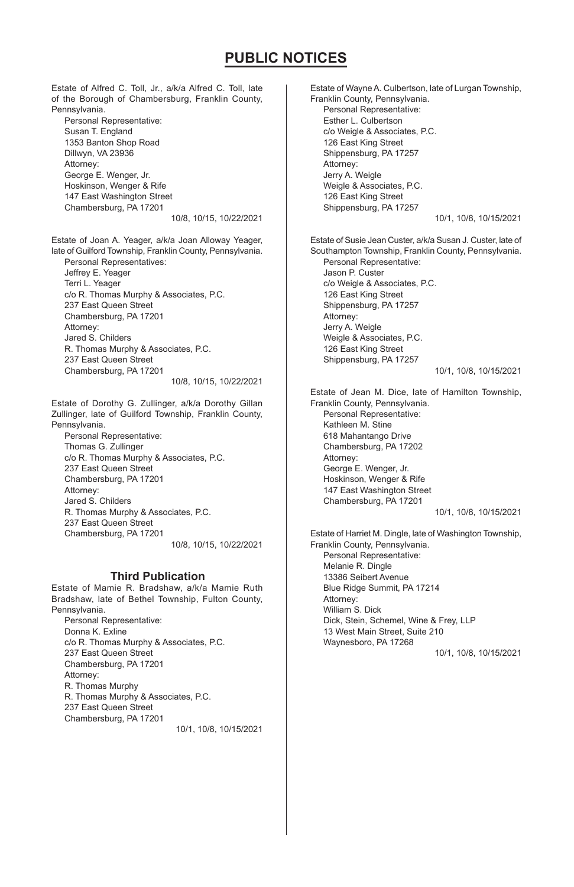Estate of Alfred C. Toll, Jr., a/k/a Alfred C. Toll, late of the Borough of Chambersburg, Franklin County, Pennsylvania. Personal Representative: Susan T. England 1353 Banton Shop Road Dillwyn, VA 23936 Attorney: George E. Wenger, Jr. Hoskinson, Wenger & Rife 147 East Washington Street Chambersburg, PA 17201 10/8, 10/15, 10/22/2021 Estate of Joan A. Yeager, a/k/a Joan Alloway Yeager, late of Guilford Township, Franklin County, Pennsylvania. Personal Representatives: Jeffrey E. Yeager Terri L. Yeager c/o R. Thomas Murphy & Associates, P.C. 237 East Queen Street Chambersburg, PA 17201 Attorney: Jared S. Childers R. Thomas Murphy & Associates, P.C. 237 East Queen Street Chambersburg, PA 17201 10/8, 10/15, 10/22/2021 Estate of Dorothy G. Zullinger, a/k/a Dorothy Gillan Zullinger, late of Guilford Township, Franklin County, Pennsylvania. Personal Representative: Thomas G. Zullinger c/o R. Thomas Murphy & Associates, P.C. 237 East Queen Street Chambersburg, PA 17201 Attorney: Jared S. Childers R. Thomas Murphy & Associates, P.C. 237 East Queen Street Chambersburg, PA 17201 10/8, 10/15, 10/22/2021 Estate of Mamie R. Bradshaw, a/k/a Mamie Ruth Bradshaw, late of Bethel Township, Fulton County, Pennsylvania. Personal Representative: **Third Publication**

Donna K. Exline c/o R. Thomas Murphy & Associates, P.C. 237 East Queen Street Chambersburg, PA 17201 Attorney: R. Thomas Murphy R. Thomas Murphy & Associates, P.C. 237 East Queen Street Chambersburg, PA 17201

10/1, 10/8, 10/15/2021

Estate of Wayne A. Culbertson, late of Lurgan Township, Franklin County, Pennsylvania. Personal Representative: Esther L. Culbertson c/o Weigle & Associates, P.C. 126 East King Street Shippensburg, PA 17257 Attorney: Jerry A. Weigle Weigle & Associates, P.C. 126 East King Street Shippensburg, PA 17257 10/1, 10/8, 10/15/2021 Estate of Susie Jean Custer, a/k/a Susan J. Custer, late of Southampton Township, Franklin County, Pennsylvania. Personal Representative: Jason P. Custer c/o Weigle & Associates, P.C. 126 East King Street Shippensburg, PA 17257 Attorney: Jerry A. Weigle Weigle & Associates, P.C. 126 East King Street Shippensburg, PA 17257 10/1, 10/8, 10/15/2021 Estate of Jean M. Dice, late of Hamilton Township, Franklin County, Pennsylvania. Personal Representative: Kathleen M. Stine 618 Mahantango Drive Chambersburg, PA 17202 Attorney: George E. Wenger, Jr. Hoskinson, Wenger & Rife 147 East Washington Street Chambersburg, PA 17201 10/1, 10/8, 10/15/2021 Estate of Harriet M. Dingle, late of Washington Township, Franklin County, Pennsylvania. Personal Representative: Melanie R. Dingle 13386 Seibert Avenue Blue Ridge Summit, PA 17214 Attorney: William S. Dick Dick, Stein, Schemel, Wine & Frey, LLP 13 West Main Street, Suite 210 Waynesboro, PA 17268 10/1, 10/8, 10/15/2021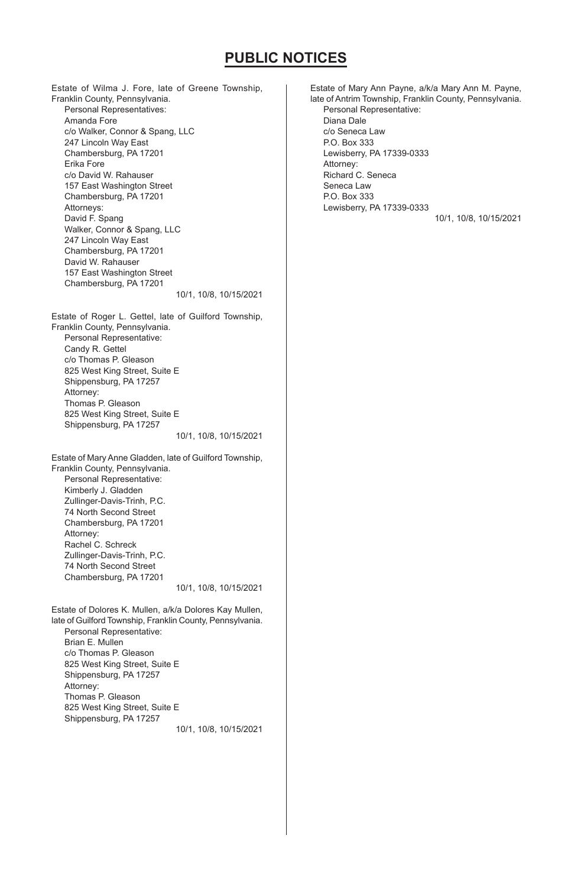Estate of Wilma J. Fore, late of Greene Township, Franklin County, Pennsylvania. Personal Representatives: Amanda Fore c/o Walker, Connor & Spang, LLC 247 Lincoln Way East Chambersburg, PA 17201 Erika Fore c/o David W. Rahauser 157 East Washington Street Chambersburg, PA 17201 Attorneys: David F. Spang Walker, Connor & Spang, LLC 247 Lincoln Way East Chambersburg, PA 17201 David W. Rahauser 157 East Washington Street Chambersburg, PA 17201 10/1, 10/8, 10/15/2021 Estate of Roger L. Gettel, late of Guilford Township, Franklin County, Pennsylvania. Personal Representative: Candy R. Gettel c/o Thomas P. Gleason 825 West King Street, Suite E Shippensburg, PA 17257 Attorney: Thomas P. Gleason 825 West King Street, Suite E Shippensburg, PA 17257 10/1, 10/8, 10/15/2021 Estate of Mary Anne Gladden, late of Guilford Township, Franklin County, Pennsylvania. Personal Representative: Kimberly J. Gladden Zullinger-Davis-Trinh, P.C. 74 North Second Street Chambersburg, PA 17201 Attorney: Rachel C. Schreck Zullinger-Davis-Trinh, P.C. 74 North Second Street Chambersburg, PA 17201 10/1, 10/8, 10/15/2021 Estate of Dolores K. Mullen, a/k/a Dolores Kay Mullen, late of Guilford Township, Franklin County, Pennsylvania. Personal Representative: Brian E. Mullen c/o Thomas P. Gleason 825 West King Street, Suite E Shippensburg, PA 17257 Attorney: Thomas P. Gleason 825 West King Street, Suite E Shippensburg, PA 17257 10/1, 10/8, 10/15/2021

Estate of Mary Ann Payne, a/k/a Mary Ann M. Payne, late of Antrim Township, Franklin County, Pennsylvania. Personal Representative: Diana Dale c/o Seneca Law P.O. Box 333 Lewisberry, PA 17339-0333 Attorney: Richard C. Seneca Seneca Law P.O. Box 333 Lewisberry, PA 17339-0333 10/1, 10/8, 10/15/2021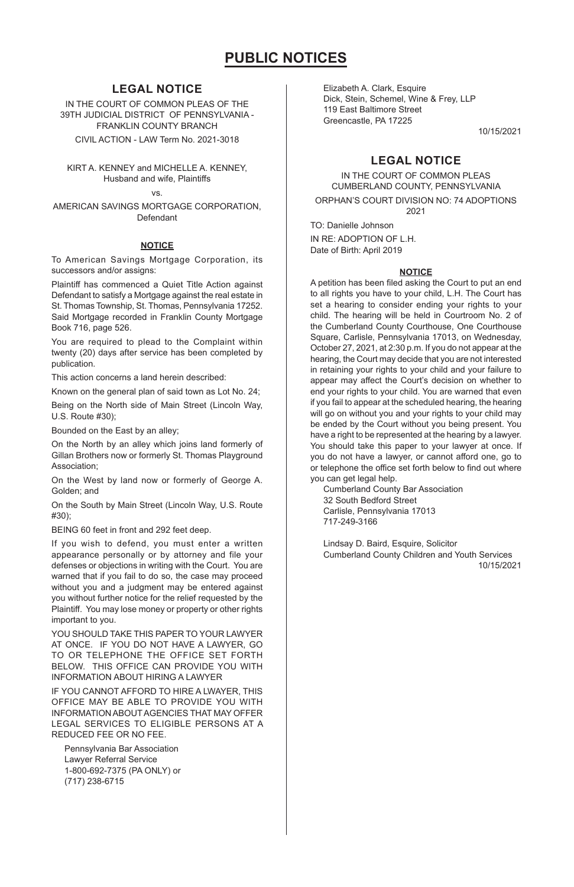### **LEGAL NOTICE**

IN THE COURT OF COMMON PLEAS OF THE 39TH JUDICIAL DISTRICT OF PENNSYLVANIA - FRANKLIN COUNTY BRANCH CIVIL ACTION - LAW Term No. 2021-3018

KIRT A. KENNEY and MICHELLE A. KENNEY, Husband and wife, Plaintiffs

vs.

AMERICAN SAVINGS MORTGAGE CORPORATION, Defendant

#### **NOTICE**

To American Savings Mortgage Corporation, its successors and/or assigns:

Plaintiff has commenced a Quiet Title Action against Defendant to satisfy a Mortgage against the real estate in St. Thomas Township, St. Thomas, Pennsylvania 17252. Said Mortgage recorded in Franklin County Mortgage Book 716, page 526.

You are required to plead to the Complaint within twenty (20) days after service has been completed by publication.

This action concerns a land herein described:

Known on the general plan of said town as Lot No. 24;

Being on the North side of Main Street (Lincoln Way, U.S. Route #30);

Bounded on the East by an alley;

On the North by an alley which joins land formerly of Gillan Brothers now or formerly St. Thomas Playground **Association** 

On the West by land now or formerly of George A. Golden; and

On the South by Main Street (Lincoln Way, U.S. Route #30);

BEING 60 feet in front and 292 feet deep.

If you wish to defend, you must enter a written appearance personally or by attorney and file your defenses or objections in writing with the Court. You are warned that if you fail to do so, the case may proceed without you and a judgment may be entered against you without further notice for the relief requested by the Plaintiff. You may lose money or property or other rights important to you.

YOU SHOULD TAKE THIS PAPER TO YOUR LAWYER AT ONCE. IF YOU DO NOT HAVE A LAWYER, GO TO OR TELEPHONE THE OFFICE SET FORTH BELOW. THIS OFFICE CAN PROVIDE YOU WITH INFORMATION ABOUT HIRING A LAWYER

IF YOU CANNOT AFFORD TO HIRE A LWAYER, THIS OFFICE MAY BE ABLE TO PROVIDE YOU WITH INFORMATION ABOUT AGENCIES THAT MAY OFFER LEGAL SERVICES TO ELIGIBLE PERSONS AT A REDUCED FEE OR NO FEE.

Pennsylvania Bar Association Lawyer Referral Service 1-800-692-7375 (PA ONLY) or (717) 238-6715

Elizabeth A. Clark, Esquire Dick, Stein, Schemel, Wine & Frey, LLP 119 East Baltimore Street Greencastle, PA 17225

10/15/2021

## **LEGAL NOTICE**

IN THE COURT OF COMMON PLEAS CUMBERLAND COUNTY, PENNSYLVANIA

ORPHAN'S COURT DIVISION NO: 74 ADOPTIONS 2021

TO: Danielle Johnson IN RE: ADOPTION OF L.H. Date of Birth: April 2019

#### **NOTICE**

A petition has been filed asking the Court to put an end to all rights you have to your child, L.H. The Court has set a hearing to consider ending your rights to your child. The hearing will be held in Courtroom No. 2 of the Cumberland County Courthouse, One Courthouse Square, Carlisle, Pennsylvania 17013, on Wednesday, October 27, 2021, at 2:30 p.m. If you do not appear at the hearing, the Court may decide that you are not interested in retaining your rights to your child and your failure to appear may affect the Court's decision on whether to end your rights to your child. You are warned that even if you fail to appear at the scheduled hearing, the hearing will go on without you and your rights to your child may be ended by the Court without you being present. You have a right to be represented at the hearing by a lawyer. You should take this paper to your lawyer at once. If you do not have a lawyer, or cannot afford one, go to or telephone the office set forth below to find out where you can get legal help.

Cumberland County Bar Association 32 South Bedford Street Carlisle, Pennsylvania 17013 717-249-3166

Lindsay D. Baird, Esquire, Solicitor Cumberland County Children and Youth Services 10/15/2021